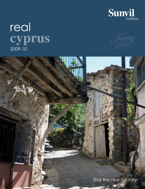

# real **cyprus** 2009-10



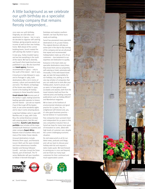## A little background as we celebrate our 40th birthday as a specialist holiday company that remains fiercely independent...

2010 sees our 40th birthday. Originally, we sold villas and apartments in Cyprus – but, in 1973, we decided to organise self-catering holidays, giving property owners an income as well as their own holiday home. Well ahead of the current building boom, Sunvil created the self-catering villa market in Cyprus.

In July 1974, Turkey invaded Cyprus and we lost everything in the north of the island. We had to diversify, and Sunvil's first Greek brochure was published in 1975. We also launched our **travel agency**. Business recommenced in Cyprus – only to the south of the island – late in 1975.

A brochure to Italy followed in 1979 and to Portugal in 1984; both destinations offer a lot in terms of scenery, culture and wonderful food and wine. The Atlantic archipelago of the Azores was added in 1990; Sunvil is the leading UK holiday company to these beautiful islands.

**Greek Islands Club** became part of the family in 1998, making Sunvil the leading specialist operator to Greece and her islands – just ask our experts if you'd like to get off the beaten track, to see some wonderful sights and to stay in some amazing places. Long-haul holidays came in 1992 with Namibia and, in 1995, with Costa Rica, the central American enclave with amazing plants, bird life and butterflies. **Sunvil's Latin American portfolio** now includes all the major central/south American countries and sister company **Expert Africa** features most of southern Africa and many of the Indian Ocean islands.

Unusual destinations include Armenia (from 1997), and Romania (2007). Both suit the open-minded and more adventurous traveller. Sweden and Norway followed (2008) – and also (2009) the Faroe Islands, part of Denmark. The TV series Wallander will spur travellers to follow in Kenneth Branagh's





footsteps and explore southern Sweden; we have fly/drive tours ready and waiting...

Sunvil has pioneered many specialist destinations in its 40-year history. The original directors still play an active part in the day-to-day running of the company and we are all proud that repeat and recommended holidaymakers make up 70% of our customers – due testament to our expertise and dedication to quality. Everyone in the team visits our specialist destinations many times; they know them and our properties, self-catering or hotel, extremely well. Unusually, in this web-based travel age, we take full responsibility for our holidays, too, putting us in the very top echelon of companies that you can really trust to look after your holiday plans. Sunvil is proud, over 40 years, to have gained many accolades and awards, both from the travel industry itself and from the national press and leading consumer publications such as Holiday Which? and Wanderlust magazine.

We've been at the forefront of environmental initiatives and good practice for 25 years. Yes, it's enlightened self-interest and, yes, it's also good business practice – but we believe in it passionately.

Few companies have survived intact and independent for 40 years in this very competitive industry! Here at Sunvil we hope for many more years of innovation to come, allied with high levels of customer care, despite the current challenging economic situation.

Do visit www.sunvil.co.uk for our latest news, podcasts and blogs, and call our team to discuss your holiday wish-list and request a tailor-made quote. We look forward to serving you in 2010 and beyond, and we thank our many loyal customers for their continued and much-appreciated custom.



Photograph of Chryssorogiatissa Monastery – JMA Photography

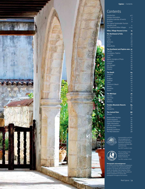

# **Contents**

| Introduction                             | 4-6       |
|------------------------------------------|-----------|
| Holiday Information                      | 7         |
| Activities/calendar of events            | 8         |
| <b>Fly Drive</b>                         | 9         |
| The Cyprus Sustainable Tourism           |           |
| Initiative (csti)                        | 11        |
| The Traditional Wine Villages            | $12 - 13$ |
| <b>Villas, Village Houses &amp; Inns</b> | 15        |
| <b>The Northwest &amp; Polis</b>         | 16        |
| Pomos                                    | 17        |
| Polis                                    | $20^{-1}$ |
| Latchi                                   | 23        |
| Neohorio                                 | 28        |
| Lysos                                    | 29        |
| Akourdhalia                              | 31        |
| The Southwest and Paphos area            | 32        |
| Paphos                                   | 33        |
| Geroskipou, Paphos                       | 43        |
| Coral Bay                                | 45        |
| Peyia                                    | 49        |
| Aghios Georgios of Peyia                 | 53        |
| Anavargos                                | 56        |
| Kallepia                                 | 57        |
| Ayii Anargyri                            | 58        |
| Nikoklia                                 | 59        |
| Pissouri                                 | 61        |
| <b>The South</b>                         | 64        |
| Limassol                                 | 65        |
| Arsos                                    | 68        |
| Anogyra                                  | 68        |
| Episkopi                                 | 69        |
| Lofou                                    | 70        |
| Governor's Beach                         | 71        |
| Maroni                                   | 72        |
| Khirokitia                               | 73        |
| Tochni                                   | 74        |
| <b>The Mid-East</b>                      | 76        |
| Larnaca                                  | 77        |
| Kato Drys                                | 80        |
| Lefkara                                  | 81        |
| Skarinou                                 | 82        |
| <b>Troodos Mountain Resorts</b>          | 84        |
| Platres                                  | 85        |
| Kakopetria                               | 87        |
| <b>The Central Plain</b>                 | 88        |
| <b>Nicosia</b>                           | 89        |
| Responsible Tourism                      | 90        |
| Travel Insurance                         | 91        |
| General Information                      | 92        |
| Flight Information                       | 94        |
| Car Hire Information                     | 95        |
| <b>Booking Form</b>                      | 96        |
| <b>Booking Conditions</b>                | 97        |
| The Real Selection                       | 98        |
|                                          |           |



Accommodation and land only arrangements are protected by AITO Trust, a Department of Business, Innovation and Skills (BIS) approved body. Our AITOT number is 1092



The air holidays in this brochure are ATOL protected by the Civil Aviation Authority.

**Photographic Acknowledgement:**<br>Our thanks to Mr Reno Wideson for allowing us<br>to use a selection of his general photographs<br>of Cyprus. Our thanks also to Paul Harcourt<br>Davies, Jon Banfield, Peter Sebastian, Doros<br>Partaside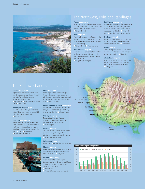

# The Northwest, Polis and its villages

#### **Pomos pages 17-19**

A large, attractive seaside village built on a slope between the sea and the wooded foothills of the Paphos mountains… ■ Villas with pool

#### **Polis pages 20-22**

Forty two kilometres from Paphos on the northern coast of the island is POLIS, a more relaxed agricultural town in a green and rural setting… ■ Villas with pool ■ Three star hotel

#### **Pano Arodhes page 22**

Located in the Akamas hills between Polis on the north coast and Paphos on the south, this small, pretty village of about 100 inhabitants…

■ Village House with pool

#### **Latchi Area pages 23-27**

Watersports with instruction are available at this fishing harbour throughout the summer. Here are excellent beaches of coarse sand or shingle... Villas with pool Two, three and five star hotels.

#### **Neohorio page 28**

In the hills above Latchi nestles this large and pretty village, the gateway to the Akamas National Park… ■ Apartments

#### **Lysos page 29**

This is an agricultural village with a minimarket, two coffee shops, a folk museum and a forest station... Village Inn

#### **Akourdhalia** p

A very small and attractive village in two parts, 'Pano' and 'Kato', on the edge of the spectacular Pitharolakkos gorge… ■ Village Inn



#### **Paphos pa**

Paphos itself is really two towns, each with its own character; Ktima on the cliff and Kato Paphos by the sea, two kilometres down the road…

■ Apartments ■ Two, three and five star hotels Village Inn

#### **Geroskipou, Paphos page 43**

Two miles east of Ktima, this was on the path of the ancient pilgrims' road which led to the Temple of Aphrodite… ■ Village Inn

#### **Coral Bay pages 44-48**

11 kilometres (15 minutes drive) to the north of Paphos and 3 kilometres below the friendly, hillside village of Peyia is Coral Bay, the best natural beach in the area... Villas Apartments **Superior four star hotels** 



#### **Peyia pa**

A very large, almost overwhelmingly, friendly village now designated a town with its own municipality, Peyia is spread across the hills about 3.5kms from Coral Bay... Villas with pool

### **Aghios Georgios of Peyia pages 53-55**

No more than a tiny fishing harbour and a bay overlooked by a large, sea-facing taverna and church... Villas with pool

#### **Anavargos p**

The small and friendly village of Anavargos, now part of Paphos, has a whitewashed church at its heart… ■ Villa with pool

### **Kallepia page 57**

On a vine-covered hillside above Paphos stands this unspoilt village of narrow winding lanes with 300-350 inhabitants… ■ Village House with pool

**Ayii Anargyri page 58** A rural idyll… ■ De luxe boutique hotel/spa

#### **Nikoklia page**

This is a small, quiet village which boasts a couple of coffee shops, an old church dating from 1768... Village Inn

#### Pissouri pages 60-6

Five minutes off the main Paphos-Limassol road, a winding drive past fields and vineyards brings you to the wide sweep of Pissouri Bay… **Apartments Four and five star hotel and resort** Jan